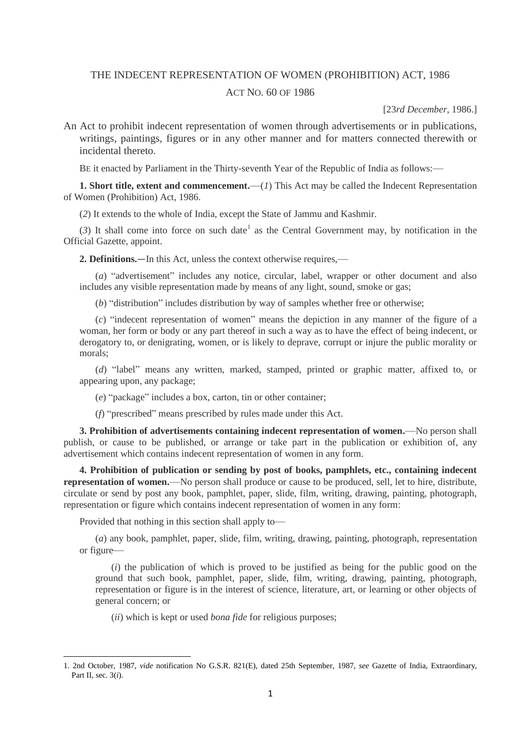## THE INDECENT REPRESENTATION OF WOMEN (PROHIBITION) ACT, 1986

## ACT NO. 60 OF 1986

[23*rd December*, 1986.]

An Act to prohibit indecent representation of women through advertisements or in publications, writings, paintings, figures or in any other manner and for matters connected therewith or incidental thereto.

BE it enacted by Parliament in the Thirty-seventh Year of the Republic of India as follows:—

**1. Short title, extent and commencement.**—(*1*) This Act may be called the Indecent Representation of Women (Prohibition) Act, 1986.

(*2*) It extends to the whole of India, except the State of Jammu and Kashmir.

(3) It shall come into force on such date<sup>1</sup> as the Central Government may, by notification in the Official Gazette, appoint.

**2. Definitions.**—In this Act, unless the context otherwise requires,—

(*a*) "advertisement" includes any notice, circular, label, wrapper or other document and also includes any visible representation made by means of any light, sound, smoke or gas;

(*b*) "distribution" includes distribution by way of samples whether free or otherwise;

(*c*) "indecent representation of women" means the depiction in any manner of the figure of a woman, her form or body or any part thereof in such a way as to have the effect of being indecent, or derogatory to, or denigrating, women, or is likely to deprave, corrupt or injure the public morality or morals;

(*d*) "label" means any written, marked, stamped, printed or graphic matter, affixed to, or appearing upon, any package;

(*e*) "package" includes a box, carton, tin or other container;

(*f*) "prescribed" means prescribed by rules made under this Act.

**3. Prohibition of advertisements containing indecent representation of women.**—No person shall publish, or cause to be published, or arrange or take part in the publication or exhibition of, any advertisement which contains indecent representation of women in any form.

**4. Prohibition of publication or sending by post of books, pamphlets, etc., containing indecent representation of women.**—No person shall produce or cause to be produced, sell, let to hire, distribute, circulate or send by post any book, pamphlet, paper, slide, film, writing, drawing, painting, photograph, representation or figure which contains indecent representation of women in any form:

Provided that nothing in this section shall apply to—

(*a*) any book, pamphlet, paper, slide, film, writing, drawing, painting, photograph, representation or figure—

(*i*) the publication of which is proved to be justified as being for the public good on the ground that such book, pamphlet, paper, slide, film, writing, drawing, painting, photograph, representation or figure is in the interest of science, literature, art, or learning or other objects of general concern; or

(*ii*) which is kept or used *bona fide* for religious purposes;

<sup>1</sup> 1. 2nd October, 1987, *vide* notification No G.S.R. 821(E), dated 25th September, 1987, *see* Gazette of India, Extraordinary, Part II, sec. 3(*i*).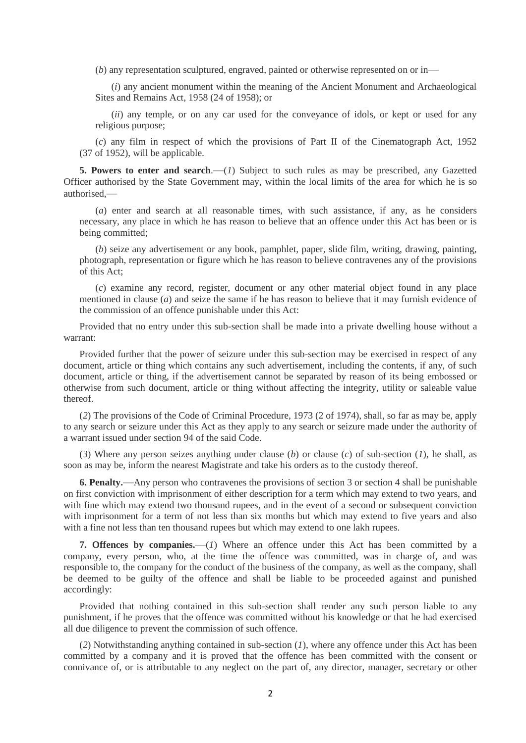(*b*) any representation sculptured, engraved, painted or otherwise represented on or in—

(*i*) any ancient monument within the meaning of the Ancient Monument and Archaeological Sites and Remains Act, 1958 (24 of 1958); or

(*ii*) any temple, or on any car used for the conveyance of idols, or kept or used for any religious purpose;

(*c*) any film in respect of which the provisions of Part II of the Cinematograph Act, 1952 (37 of 1952), will be applicable.

**5. Powers to enter and search**.—(*1*) Subject to such rules as may be prescribed, any Gazetted Officer authorised by the State Government may, within the local limits of the area for which he is so authorised,—

(*a*) enter and search at all reasonable times, with such assistance, if any, as he considers necessary, any place in which he has reason to believe that an offence under this Act has been or is being committed;

(*b*) seize any advertisement or any book, pamphlet, paper, slide film, writing, drawing, painting, photograph, representation or figure which he has reason to believe contravenes any of the provisions of this Act;

(*c*) examine any record, register, document or any other material object found in any place mentioned in clause (*a*) and seize the same if he has reason to believe that it may furnish evidence of the commission of an offence punishable under this Act:

Provided that no entry under this sub-section shall be made into a private dwelling house without a warrant:

Provided further that the power of seizure under this sub-section may be exercised in respect of any document, article or thing which contains any such advertisement, including the contents, if any, of such document, article or thing, if the advertisement cannot be separated by reason of its being embossed or otherwise from such document, article or thing without affecting the integrity, utility or saleable value thereof.

(*2*) The provisions of the Code of Criminal Procedure, 1973 (2 of 1974), shall, so far as may be, apply to any search or seizure under this Act as they apply to any search or seizure made under the authority of a warrant issued under section 94 of the said Code.

(*3*) Where any person seizes anything under clause (*b*) or clause (*c*) of sub-section (*1*), he shall, as soon as may be, inform the nearest Magistrate and take his orders as to the custody thereof.

**6. Penalty.**—Any person who contravenes the provisions of section 3 or section 4 shall be punishable on first conviction with imprisonment of either description for a term which may extend to two years, and with fine which may extend two thousand rupees, and in the event of a second or subsequent conviction with imprisonment for a term of not less than six months but which may extend to five years and also with a fine not less than ten thousand rupees but which may extend to one lakh rupees.

**7. Offences by companies.**—(*1*) Where an offence under this Act has been committed by a company, every person, who, at the time the offence was committed, was in charge of, and was responsible to, the company for the conduct of the business of the company, as well as the company, shall be deemed to be guilty of the offence and shall be liable to be proceeded against and punished accordingly:

Provided that nothing contained in this sub-section shall render any such person liable to any punishment, if he proves that the offence was committed without his knowledge or that he had exercised all due diligence to prevent the commission of such offence.

(*2*) Notwithstanding anything contained in sub-section (*1*), where any offence under this Act has been committed by a company and it is proved that the offence has been committed with the consent or connivance of, or is attributable to any neglect on the part of, any director, manager, secretary or other